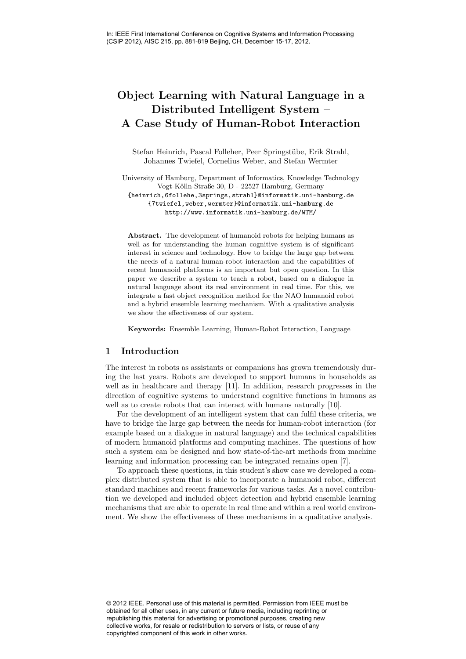# Object Learning with Natural Language in a Distributed Intelligent System – A Case Study of Human-Robot Interaction

Stefan Heinrich, Pascal Folleher, Peer Springstübe, Erik Strahl, Johannes Twiefel, Cornelius Weber, and Stefan Wermter

University of Hamburg, Department of Informatics, Knowledge Technology Vogt-Kölln-Straße 30, D - 22527 Hamburg, Germany {heinrich,6follehe,3springs,strahl}@informatik.uni-hamburg.de {7twiefel,weber,wermter}@informatik.uni-hamburg.de http://www.informatik.uni-hamburg.de/WTM/

Abstract. The development of humanoid robots for helping humans as well as for understanding the human cognitive system is of significant interest in science and technology. How to bridge the large gap between the needs of a natural human-robot interaction and the capabilities of recent humanoid platforms is an important but open question. In this paper we describe a system to teach a robot, based on a dialogue in natural language about its real environment in real time. For this, we integrate a fast object recognition method for the NAO humanoid robot and a hybrid ensemble learning mechanism. With a qualitative analysis we show the effectiveness of our system.

Keywords: Ensemble Learning, Human-Robot Interaction, Language

## 1 Introduction

The interest in robots as assistants or companions has grown tremendously during the last years. Robots are developed to support humans in households as well as in healthcare and therapy [11]. In addition, research progresses in the direction of cognitive systems to understand cognitive functions in humans as well as to create robots that can interact with humans naturally [10].

For the development of an intelligent system that can fulfil these criteria, we have to bridge the large gap between the needs for human-robot interaction (for example based on a dialogue in natural language) and the technical capabilities of modern humanoid platforms and computing machines. The questions of how such a system can be designed and how state-of-the-art methods from machine learning and information processing can be integrated remains open [7].

To approach these questions, in this student's show case we developed a complex distributed system that is able to incorporate a humanoid robot, different standard machines and recent frameworks for various tasks. As a novel contribution we developed and included object detection and hybrid ensemble learning mechanisms that are able to operate in real time and within a real world environment. We show the effectiveness of these mechanisms in a qualitative analysis.

© 2012 IEEE. Personal use of this material is permitted. Permission from IEEE must be obtained for all other uses, in any current or future media, including reprinting or republishing this material for advertising or promotional purposes, creating new collective works, for resale or redistribution to servers or lists, or reuse of any copyrighted component of this work in other works.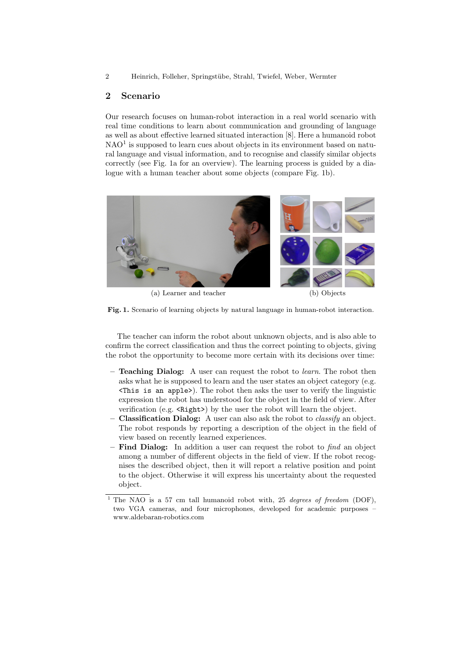2 Heinrich, Folleher, Springstübe, Strahl, Twiefel, Weber, Wermter

## 2 Scenario

Our research focuses on human-robot interaction in a real world scenario with real time conditions to learn about communication and grounding of language as well as about effective learned situated interaction [8]. Here a humanoid robot  $NAO<sup>1</sup>$  is supposed to learn cues about objects in its environment based on natural language and visual information, and to recognise and classify similar objects correctly (see Fig. 1a for an overview). The learning process is guided by a dialogue with a human teacher about some objects (compare Fig. 1b).



(a) Learner and teacher (b) Objects



The teacher can inform the robot about unknown objects, and is also able to confirm the correct classification and thus the correct pointing to objects, giving the robot the opportunity to become more certain with its decisions over time:

- Teaching Dialog: A user can request the robot to learn. The robot then asks what he is supposed to learn and the user states an object category (e.g. <This is an apple>). The robot then asks the user to verify the linguistic expression the robot has understood for the object in the field of view. After verification (e.g. <Right>) by the user the robot will learn the object.
- Classification Dialog: A user can also ask the robot to *classify* an object. The robot responds by reporting a description of the object in the field of view based on recently learned experiences.
- Find Dialog: In addition a user can request the robot to  $\hat{f}$  and  $\hat{f}$  and object among a number of different objects in the field of view. If the robot recognises the described object, then it will report a relative position and point to the object. Otherwise it will express his uncertainty about the requested object.
- <sup>1</sup> The NAO is a 57 cm tall humanoid robot with, 25 *degrees of freedom* (DOF), two VGA cameras, and four microphones, developed for academic purposes – www.aldebaran-robotics.com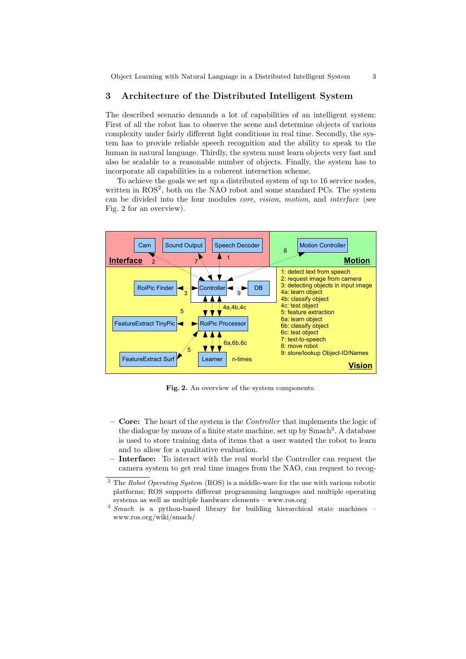Object Learning with Natural Language in a Distributed Intelligent System 3

## 3 Architecture of the Distributed Intelligent System

The described scenario demands a lot of capabilities of an intelligent system: First of all the robot has to observe the scene and determine objects of various complexity under fairly different light conditions in real time. Secondly, the system has to provide reliable speech recognition and the ability to speak to the human in natural language. Thirdly, the system must learn objects very fast and also be scalable to a reasonable number of objects. Finally, the system has to incorporate all capabilities in a coherent interaction scheme.

To achieve the goals we set up a distributed system of up to 16 service nodes, written in ROS<sup>2</sup>, both on the NAO robot and some standard PCs. The system can be divided into the four modules core, vision, motion, and interface (see Fig. 2 for an overview).



Fig. 2. An overview of the system components.

- **Core:** The heart of the system is the *Controller* that implements the logic of the dialogue by means of a finite state machine, set up by  $\text{Smach}^3$ . A database is used to store training data of items that a user wanted the robot to learn and to allow for a qualitative evaluation.
- Interface: To interact with the real world the Controller can request the camera system to get real time images from the NAO, can request to recog-

<sup>&</sup>lt;sup>2</sup> The Robot Operating System (ROS) is a middle-ware for the use with various robotic platforms; ROS supports different programming languages and multiple operating systems as well as multiple hardware elements – www.ros.org

<sup>&</sup>lt;sup>3</sup> Smach is a python-based library for building hierarchical state machines – www.ros.org/wiki/smach/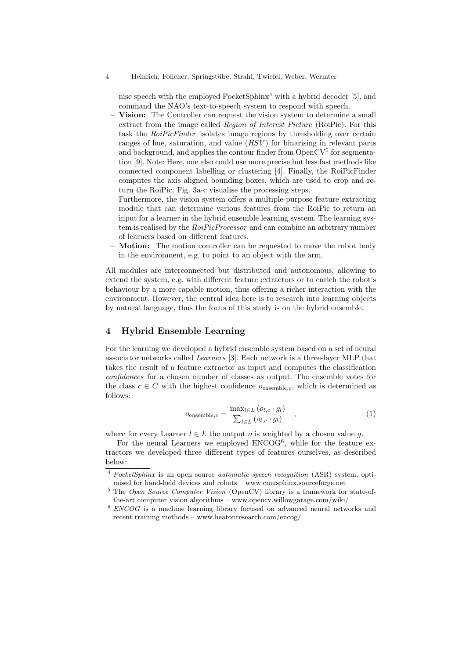4 Heinrich, Folleher, Springst¨ube, Strahl, Twiefel, Weber, Wermter

nise speech with the employed  $PocketSphinx<sup>4</sup>$  with a hybrid decoder [5], and command the NAO's text-to-speech system to respond with speech.

- Vision: The Controller can request the vision system to determine a small extract from the image called Region of Interest Picture (RoiPic). For this task the *RoiPicFinder* isolates image regions by thresholding over certain ranges of hue, saturation, and value  $(HSV)$  for binarising in relevant parts and background, and applies the contour finder from  $OpenCV<sup>5</sup>$  for segmentation [9]. Note: Here, one also could use more precise but less fast methods like connected component labelling or clustering [4]. Finally, the RoiPicFinder computes the axis aligned bounding boxes, which are used to crop and return the RoiPic. Fig. 3a-c visualise the processing steps.
- Furthermore, the vision system offers a multiple-purpose feature extracting module that can determine various features from the RoiPic to return an input for a learner in the hybrid ensemble learning system. The learning system is realised by the RoiPicProcessor and can combine an arbitrary number of learners based on different features.
- **Motion:** The motion controller can be requested to move the robot body in the environment, e.g. to point to an object with the arm.

All modules are interconnected but distributed and autonomous, allowing to extend the system, e.g. with different feature extractors or to enrich the robot's behaviour by a more capable motion, thus offering a richer interaction with the environment. However, the central idea here is to research into learning objects by natural language, thus the focus of this study is on the hybrid ensemble.

## 4 Hybrid Ensemble Learning

For the learning we developed a hybrid ensemble system based on a set of neural associator networks called Learners [3]. Each network is a three-layer MLP that takes the result of a feature extractor as input and computes the classification confidences for a chosen number of classes as output. The ensemble votes for the class  $c \in C$  with the highest confidence  $o_{\text{ensemble }c}$ , which is determined as follows:

$$
o_{\text{ensemble},c} = \frac{\max_{l \in L} (o_{l,c} \cdot g_l)}{\sum_{l \in L} (o_{l,c} \cdot g_l)}, \qquad (1)
$$

where for every Learner  $l \in L$  the output o is weighted by a chosen value q.

For the neural Learners we employed ENCOG<sup>6</sup>, while for the feature extractors we developed three different types of features ourselves, as described below:

PocketSphinx is an open source *automatic speech recognition* (ASR) system, optimised for hand-held devices and robots – www.cmusphinx.sourceforge.net

<sup>&</sup>lt;sup>5</sup> The Open Source Computer Vision (OpenCV) library is a framework for state-ofthe-art computer vision algorithms – www.opencv.willowgarage.com/wiki/

 $6$  ENCOG is a machine learning library focused on advanced neural networks and recent training methods – www.heatonresearch.com/encog/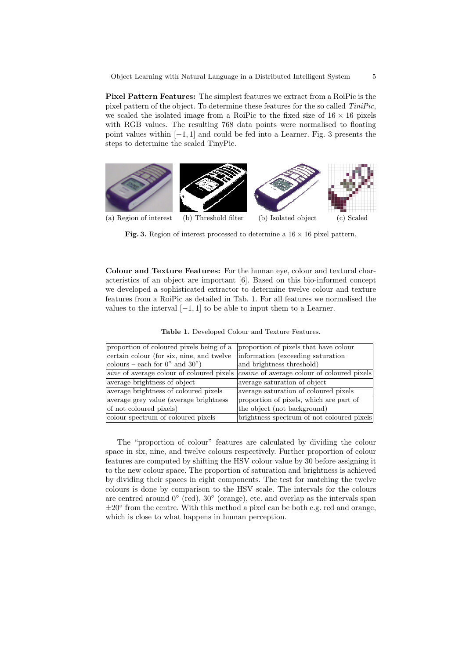Object Learning with Natural Language in a Distributed Intelligent System 5

Pixel Pattern Features: The simplest features we extract from a RoiPic is the pixel pattern of the object. To determine these features for the so called TiniPic, we scaled the isolated image from a RoiPic to the fixed size of  $16 \times 16$  pixels with RGB values. The resulting 768 data points were normalised to floating point values within  $[-1, 1]$  and could be fed into a Learner. Fig. 3 presents the steps to determine the scaled TinyPic.



Fig. 3. Region of interest processed to determine a  $16 \times 16$  pixel pattern.

Colour and Texture Features: For the human eye, colour and textural characteristics of an object are important [6]. Based on this bio-informed concept we developed a sophisticated extractor to determine twelve colour and texture features from a RoiPic as detailed in Tab. 1. For all features we normalised the values to the interval  $[-1, 1]$  to be able to input them to a Learner.

| proportion of coloured pixels being of a          | proportion of pixels that have colour       |  |  |
|---------------------------------------------------|---------------------------------------------|--|--|
| certain colour (for six, nine, and twelve         | information (exceeding saturation)          |  |  |
| colours – each for $0^{\circ}$ and $30^{\circ}$ ) | and brightness threshold)                   |  |  |
| <i>sine</i> of average colour of coloured pixels  | cosine of average colour of coloured pixels |  |  |
| average brightness of object                      | average saturation of object                |  |  |
| average brightness of coloured pixels             | average saturation of coloured pixels       |  |  |
| average grey value (average brightness            | proportion of pixels, which are part of     |  |  |
| of not coloured pixels)                           | the object (not background)                 |  |  |
| colour spectrum of coloured pixels                | brightness spectrum of not coloured pixels  |  |  |

Table 1. Developed Colour and Texture Features.

The "proportion of colour" features are calculated by dividing the colour space in six, nine, and twelve colours respectively. Further proportion of colour features are computed by shifting the HSV colour value by 30 before assigning it to the new colour space. The proportion of saturation and brightness is achieved by dividing their spaces in eight components. The test for matching the twelve colours is done by comparison to the HSV scale. The intervals for the colours are centred around 0◦ (red), 30◦ (orange), etc. and overlap as the intervals span ±20° from the centre. With this method a pixel can be both e.g. red and orange, which is close to what happens in human perception.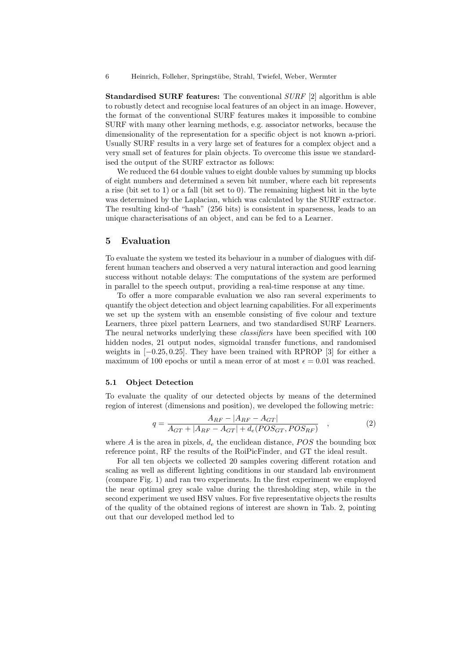6 Heinrich, Folleher, Springst¨ube, Strahl, Twiefel, Weber, Wermter

**Standardised SURF features:** The conventional  $SURF$  [2] algorithm is able to robustly detect and recognise local features of an object in an image. However, the format of the conventional SURF features makes it impossible to combine SURF with many other learning methods, e.g. associator networks, because the dimensionality of the representation for a specific object is not known a-priori. Usually SURF results in a very large set of features for a complex object and a very small set of features for plain objects. To overcome this issue we standardised the output of the SURF extractor as follows:

We reduced the 64 double values to eight double values by summing up blocks of eight numbers and determined a seven bit number, where each bit represents a rise (bit set to 1) or a fall (bit set to 0). The remaining highest bit in the byte was determined by the Laplacian, which was calculated by the SURF extractor. The resulting kind-of "hash" (256 bits) is consistent in sparseness, leads to an unique characterisations of an object, and can be fed to a Learner.

## 5 Evaluation

To evaluate the system we tested its behaviour in a number of dialogues with different human teachers and observed a very natural interaction and good learning success without notable delays: The computations of the system are performed in parallel to the speech output, providing a real-time response at any time.

To offer a more comparable evaluation we also ran several experiments to quantify the object detection and object learning capabilities. For all experiments we set up the system with an ensemble consisting of five colour and texture Learners, three pixel pattern Learners, and two standardised SURF Learners. The neural networks underlying these *classifiers* have been specified with 100 hidden nodes, 21 output nodes, sigmoidal transfer functions, and randomised weights in  $[-0.25, 0.25]$ . They have been trained with RPROP [3] for either a maximum of 100 epochs or until a mean error of at most  $\epsilon = 0.01$  was reached.

#### 5.1 Object Detection

To evaluate the quality of our detected objects by means of the determined region of interest (dimensions and position), we developed the following metric:

$$
q = \frac{A_{RF} - |A_{RF} - A_{GT}|}{A_{GT} + |A_{RF} - A_{GT}| + d_e (POS_{GT}, POS_{RF})} \quad , \tag{2}
$$

where A is the area in pixels,  $d_e$  the euclidean distance,  $POS$  the bounding box reference point, RF the results of the RoiPicFinder, and GT the ideal result.

For all ten objects we collected 20 samples covering different rotation and scaling as well as different lighting conditions in our standard lab environment (compare Fig. 1) and ran two experiments. In the first experiment we employed the near optimal grey scale value during the thresholding step, while in the second experiment we used HSV values. For five representative objects the results of the quality of the obtained regions of interest are shown in Tab. 2, pointing out that our developed method led to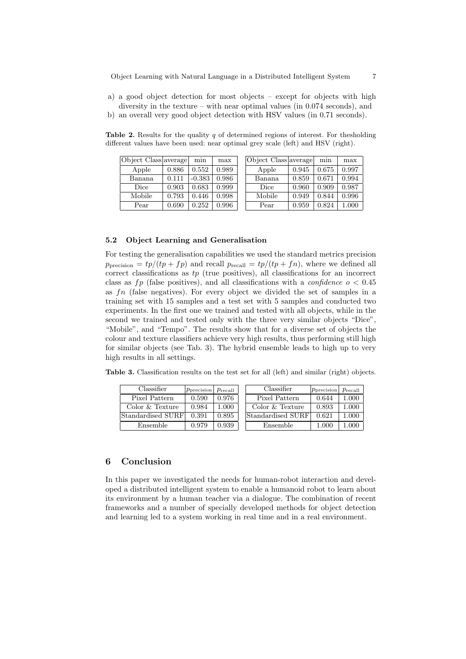- a) a good object detection for most objects except for objects with high diversity in the texture – with near optimal values (in 0.074 seconds), and
- b) an overall very good object detection with HSV values (in 0.71 seconds).

 $\vert$ Object Class average min max Apple 0.886 0.552 0.989 Banana 0.111 -0.383 0.986 Dice 0.903 0.683 0.999 Mobile 0.793 0.446 0.998 Pear  $0.690 \mid 0.252 \mid 0.996$ Object Class average min max Apple 0.945 0.675 0.997 Banana 0.859 0.671 0.994 Dice 0.960 0.909 0.987 Mobile 0.949 0.844 0.996 Pear  $0.959 \mid 0.824 \mid 1.000$ 

Table 2. Results for the quality  $q$  of determined regions of interest. For thesholding different values have been used: near optimal grey scale (left) and HSV (right).

#### 5.2 Object Learning and Generalisation

For testing the generalisation capabilities we used the standard metrics precision  $p_{\text{precision}} = tp/(tp + fp)$  and recall  $p_{\text{recall}} = tp/(tp + fn)$ , where we defined all correct classifications as  $tp$  (true positives), all classifications for an incorrect class as fp (false positives), and all classifications with a *confidence*  $o < 0.45$ as fn (false negatives). For every object we divided the set of samples in a training set with 15 samples and a test set with 5 samples and conducted two experiments. In the first one we trained and tested with all objects, while in the second we trained and tested only with the three very similar objects "Dice", "Mobile", and "Tempo". The results show that for a diverse set of objects the colour and texture classifiers achieve very high results, thus performing still high for similar objects (see Tab. 3). The hybrid ensemble leads to high up to very high results in all settings.

Table 3. Classification results on the test set for all (left) and similar (right) objects.

| Classifier        | $ p_{\text{precision}} $ $p_{\text{recall}}$ |           | Classifier        | $ p_{\text{precision}} $ $p_{\text{recall}}$ |       |
|-------------------|----------------------------------------------|-----------|-------------------|----------------------------------------------|-------|
| Pixel Pattern     | 0.590                                        | 0.976     | Pixel Pattern     | 0.644                                        | 1.000 |
| Color & Texture   | 0.984                                        | 1.000     | Color & Texture   | 0.893                                        | 1.000 |
| Standardised SURF | 0.391                                        | ${0.895}$ | Standardised SURF | 0.621                                        | 1.000 |
| Ensemble          | 0.979                                        | 0.939     | Ensemble          | 1.000                                        | 1.000 |

## 6 Conclusion

In this paper we investigated the needs for human-robot interaction and developed a distributed intelligent system to enable a humanoid robot to learn about its environment by a human teacher via a dialogue. The combination of recent frameworks and a number of specially developed methods for object detection and learning led to a system working in real time and in a real environment.